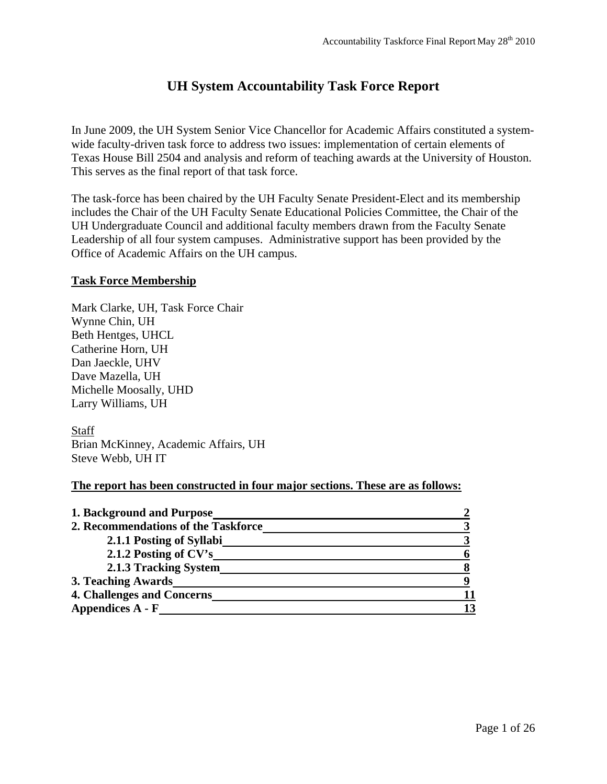# **UH System Accountability Task Force Report**

In June 2009, the UH System Senior Vice Chancellor for Academic Affairs constituted a systemwide faculty-driven task force to address two issues: implementation of certain elements of Texas House Bill 2504 and analysis and reform of teaching awards at the University of Houston. This serves as the final report of that task force.

The task-force has been chaired by the UH Faculty Senate President-Elect and its membership includes the Chair of the UH Faculty Senate Educational Policies Committee, the Chair of the UH Undergraduate Council and additional faculty members drawn from the Faculty Senate Leadership of all four system campuses. Administrative support has been provided by the Office of Academic Affairs on the UH campus.

#### **Task Force Membership**

Mark Clarke, UH, Task Force Chair Wynne Chin, UH Beth Hentges, UHCL Catherine Horn, UH Dan Jaeckle, UHV Dave Mazella, UH Michelle Moosally, UHD Larry Williams, UH

Staff Brian McKinney, Academic Affairs, UH Steve Webb, UH IT

#### **The report has been constructed in four major sections. These are as follows:**

| 1. Background and Purpose           |    |
|-------------------------------------|----|
| 2. Recommendations of the Taskforce |    |
| 2.1.1 Posting of Syllabi            |    |
| 2.1.2 Posting of CV's               |    |
| 2.1.3 Tracking System               |    |
| 3. Teaching Awards                  |    |
| 4. Challenges and Concerns          |    |
| Appendices A - F                    | 13 |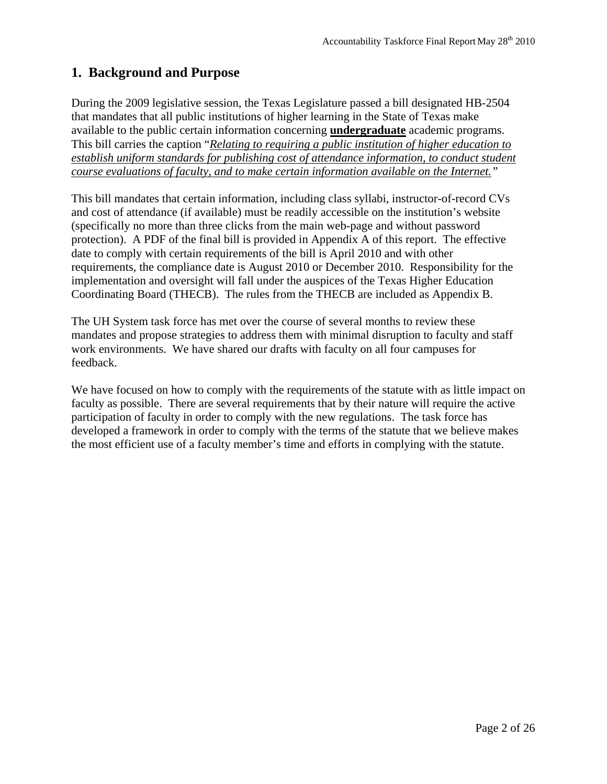# **1. Background and Purpose**

During the 2009 legislative session, the Texas Legislature passed a bill designated HB-2504 that mandates that all public institutions of higher learning in the State of Texas make available to the public certain information concerning **undergraduate** academic programs. This bill carries the caption "*Relating to requiring a public institution of higher education to establish uniform standards for publishing cost of attendance information, to conduct student course evaluations of faculty, and to make certain information available on the Internet."*

This bill mandates that certain information, including class syllabi, instructor-of-record CVs and cost of attendance (if available) must be readily accessible on the institution's website (specifically no more than three clicks from the main web-page and without password protection). A PDF of the final bill is provided in Appendix A of this report. The effective date to comply with certain requirements of the bill is April 2010 and with other requirements, the compliance date is August 2010 or December 2010. Responsibility for the implementation and oversight will fall under the auspices of the Texas Higher Education Coordinating Board (THECB). The rules from the THECB are included as Appendix B.

The UH System task force has met over the course of several months to review these mandates and propose strategies to address them with minimal disruption to faculty and staff work environments. We have shared our drafts with faculty on all four campuses for feedback.

We have focused on how to comply with the requirements of the statute with as little impact on faculty as possible. There are several requirements that by their nature will require the active participation of faculty in order to comply with the new regulations. The task force has developed a framework in order to comply with the terms of the statute that we believe makes the most efficient use of a faculty member's time and efforts in complying with the statute.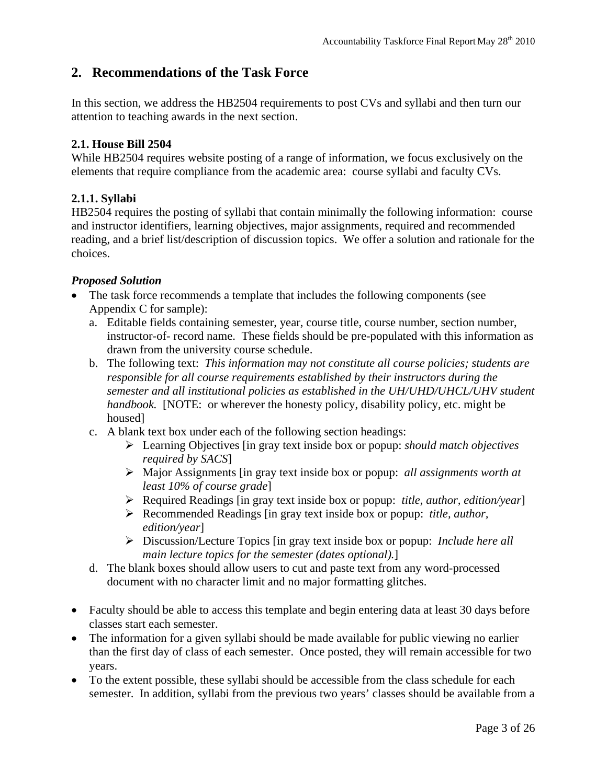# **2. Recommendations of the Task Force**

In this section, we address the HB2504 requirements to post CVs and syllabi and then turn our attention to teaching awards in the next section.

#### **2.1. House Bill 2504**

While HB2504 requires website posting of a range of information, we focus exclusively on the elements that require compliance from the academic area: course syllabi and faculty CVs.

#### **2.1.1. Syllabi**

HB2504 requires the posting of syllabi that contain minimally the following information: course and instructor identifiers, learning objectives, major assignments, required and recommended reading, and a brief list/description of discussion topics. We offer a solution and rationale for the choices.

#### *Proposed Solution*

- The task force recommends a template that includes the following components (see Appendix C for sample):
	- a. Editable fields containing semester, year, course title, course number, section number, instructor-of- record name. These fields should be pre-populated with this information as drawn from the university course schedule.
	- b. The following text: *This information may not constitute all course policies; students are responsible for all course requirements established by their instructors during the semester and all institutional policies as established in the UH/UHD/UHCL/UHV student handbook.* [NOTE: or wherever the honesty policy, disability policy, etc. might be housed]
	- c. A blank text box under each of the following section headings:
		- Learning Objectives [in gray text inside box or popup: *should match objectives required by SACS*]
		- Major Assignments [in gray text inside box or popup: *all assignments worth at least 10% of course grade*]
		- Required Readings [in gray text inside box or popup: *title, author, edition/year*]
		- Recommended Readings [in gray text inside box or popup: *title, author, edition/year*]
		- Discussion/Lecture Topics [in gray text inside box or popup: *Include here all main lecture topics for the semester (dates optional).*]
	- d. The blank boxes should allow users to cut and paste text from any word-processed document with no character limit and no major formatting glitches.
- Faculty should be able to access this template and begin entering data at least 30 days before classes start each semester.
- The information for a given syllabi should be made available for public viewing no earlier than the first day of class of each semester. Once posted, they will remain accessible for two years.
- To the extent possible, these syllabi should be accessible from the class schedule for each semester. In addition, syllabi from the previous two years' classes should be available from a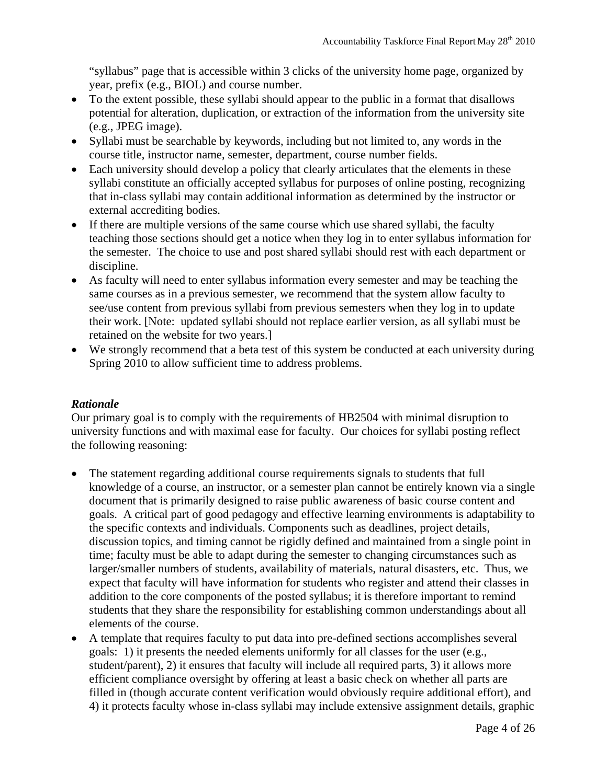"syllabus" page that is accessible within 3 clicks of the university home page, organized by year, prefix (e.g., BIOL) and course number.

- To the extent possible, these syllabi should appear to the public in a format that disallows potential for alteration, duplication, or extraction of the information from the university site (e.g., JPEG image).
- Syllabi must be searchable by keywords, including but not limited to, any words in the course title, instructor name, semester, department, course number fields.
- Each university should develop a policy that clearly articulates that the elements in these syllabi constitute an officially accepted syllabus for purposes of online posting, recognizing that in-class syllabi may contain additional information as determined by the instructor or external accrediting bodies.
- If there are multiple versions of the same course which use shared syllabi, the faculty teaching those sections should get a notice when they log in to enter syllabus information for the semester. The choice to use and post shared syllabi should rest with each department or discipline.
- As faculty will need to enter syllabus information every semester and may be teaching the same courses as in a previous semester, we recommend that the system allow faculty to see/use content from previous syllabi from previous semesters when they log in to update their work. [Note: updated syllabi should not replace earlier version, as all syllabi must be retained on the website for two years.]
- We strongly recommend that a beta test of this system be conducted at each university during Spring 2010 to allow sufficient time to address problems.

#### *Rationale*

Our primary goal is to comply with the requirements of HB2504 with minimal disruption to university functions and with maximal ease for faculty. Our choices for syllabi posting reflect the following reasoning:

- The statement regarding additional course requirements signals to students that full knowledge of a course, an instructor, or a semester plan cannot be entirely known via a single document that is primarily designed to raise public awareness of basic course content and goals. A critical part of good pedagogy and effective learning environments is adaptability to the specific contexts and individuals. Components such as deadlines, project details, discussion topics, and timing cannot be rigidly defined and maintained from a single point in time; faculty must be able to adapt during the semester to changing circumstances such as larger/smaller numbers of students, availability of materials, natural disasters, etc. Thus, we expect that faculty will have information for students who register and attend their classes in addition to the core components of the posted syllabus; it is therefore important to remind students that they share the responsibility for establishing common understandings about all elements of the course.
- A template that requires faculty to put data into pre-defined sections accomplishes several goals: 1) it presents the needed elements uniformly for all classes for the user (e.g., student/parent), 2) it ensures that faculty will include all required parts, 3) it allows more efficient compliance oversight by offering at least a basic check on whether all parts are filled in (though accurate content verification would obviously require additional effort), and 4) it protects faculty whose in-class syllabi may include extensive assignment details, graphic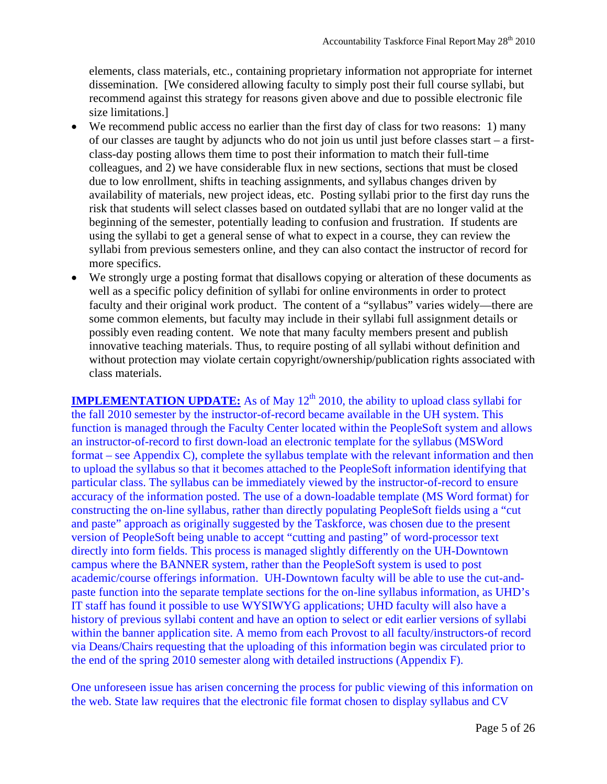elements, class materials, etc., containing proprietary information not appropriate for internet dissemination. [We considered allowing faculty to simply post their full course syllabi, but recommend against this strategy for reasons given above and due to possible electronic file size limitations.]

- We recommend public access no earlier than the first day of class for two reasons: 1) many of our classes are taught by adjuncts who do not join us until just before classes start – a firstclass-day posting allows them time to post their information to match their full-time colleagues, and 2) we have considerable flux in new sections, sections that must be closed due to low enrollment, shifts in teaching assignments, and syllabus changes driven by availability of materials, new project ideas, etc. Posting syllabi prior to the first day runs the risk that students will select classes based on outdated syllabi that are no longer valid at the beginning of the semester, potentially leading to confusion and frustration. If students are using the syllabi to get a general sense of what to expect in a course, they can review the syllabi from previous semesters online, and they can also contact the instructor of record for more specifics.
- We strongly urge a posting format that disallows copying or alteration of these documents as well as a specific policy definition of syllabi for online environments in order to protect faculty and their original work product. The content of a "syllabus" varies widely—there are some common elements, but faculty may include in their syllabi full assignment details or possibly even reading content. We note that many faculty members present and publish innovative teaching materials. Thus, to require posting of all syllabi without definition and without protection may violate certain copyright/ownership/publication rights associated with class materials.

**IMPLEMENTATION UPDATE:** As of May 12<sup>th</sup> 2010, the ability to upload class syllabi for the fall 2010 semester by the instructor-of-record became available in the UH system. This function is managed through the Faculty Center located within the PeopleSoft system and allows an instructor-of-record to first down-load an electronic template for the syllabus (MSWord format – see Appendix C), complete the syllabus template with the relevant information and then to upload the syllabus so that it becomes attached to the PeopleSoft information identifying that particular class. The syllabus can be immediately viewed by the instructor-of-record to ensure accuracy of the information posted. The use of a down-loadable template (MS Word format) for constructing the on-line syllabus, rather than directly populating PeopleSoft fields using a "cut and paste" approach as originally suggested by the Taskforce, was chosen due to the present version of PeopleSoft being unable to accept "cutting and pasting" of word-processor text directly into form fields. This process is managed slightly differently on the UH-Downtown campus where the BANNER system, rather than the PeopleSoft system is used to post academic/course offerings information. UH-Downtown faculty will be able to use the cut-andpaste function into the separate template sections for the on-line syllabus information, as UHD's IT staff has found it possible to use WYSIWYG applications; UHD faculty will also have a history of previous syllabi content and have an option to select or edit earlier versions of syllabi within the banner application site. A memo from each Provost to all faculty/instructors-of record via Deans/Chairs requesting that the uploading of this information begin was circulated prior to the end of the spring 2010 semester along with detailed instructions (Appendix F).

One unforeseen issue has arisen concerning the process for public viewing of this information on the web. State law requires that the electronic file format chosen to display syllabus and CV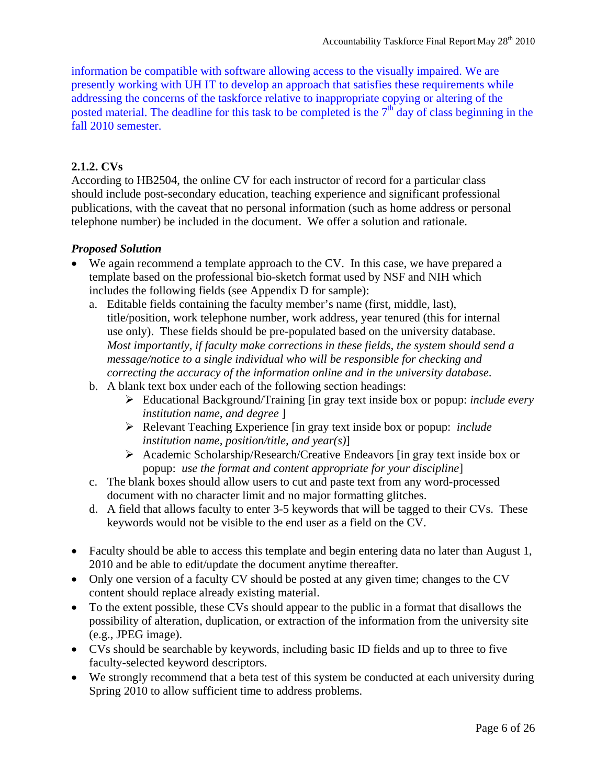information be compatible with software allowing access to the visually impaired. We are presently working with UH IT to develop an approach that satisfies these requirements while addressing the concerns of the taskforce relative to inappropriate copying or altering of the posted material. The deadline for this task to be completed is the  $7<sup>th</sup>$  day of class beginning in the fall 2010 semester.

#### **2.1.2. CVs**

According to HB2504, the online CV for each instructor of record for a particular class should include post-secondary education, teaching experience and significant professional publications, with the caveat that no personal information (such as home address or personal telephone number) be included in the document. We offer a solution and rationale.

#### *Proposed Solution*

- We again recommend a template approach to the CV. In this case, we have prepared a template based on the professional bio-sketch format used by NSF and NIH which includes the following fields (see Appendix D for sample):
	- a. Editable fields containing the faculty member's name (first, middle, last), title/position, work telephone number, work address, year tenured (this for internal use only). These fields should be pre-populated based on the university database. *Most importantly, if faculty make corrections in these fields, the system should send a message/notice to a single individual who will be responsible for checking and correcting the accuracy of the information online and in the university database*.
	- b. A blank text box under each of the following section headings:
		- Educational Background/Training [in gray text inside box or popup: *include every institution name, and degree* ]
		- Relevant Teaching Experience [in gray text inside box or popup: *include institution name, position/title, and year(s)*]
		- Academic Scholarship/Research/Creative Endeavors [in gray text inside box or popup: *use the format and content appropriate for your discipline*]
	- c. The blank boxes should allow users to cut and paste text from any word-processed document with no character limit and no major formatting glitches.
	- d. A field that allows faculty to enter 3-5 keywords that will be tagged to their CVs. These keywords would not be visible to the end user as a field on the CV.
- Faculty should be able to access this template and begin entering data no later than August 1, 2010 and be able to edit/update the document anytime thereafter.
- Only one version of a faculty CV should be posted at any given time; changes to the CV content should replace already existing material.
- To the extent possible, these CVs should appear to the public in a format that disallows the possibility of alteration, duplication, or extraction of the information from the university site (e.g., JPEG image).
- CVs should be searchable by keywords, including basic ID fields and up to three to five faculty-selected keyword descriptors.
- We strongly recommend that a beta test of this system be conducted at each university during Spring 2010 to allow sufficient time to address problems.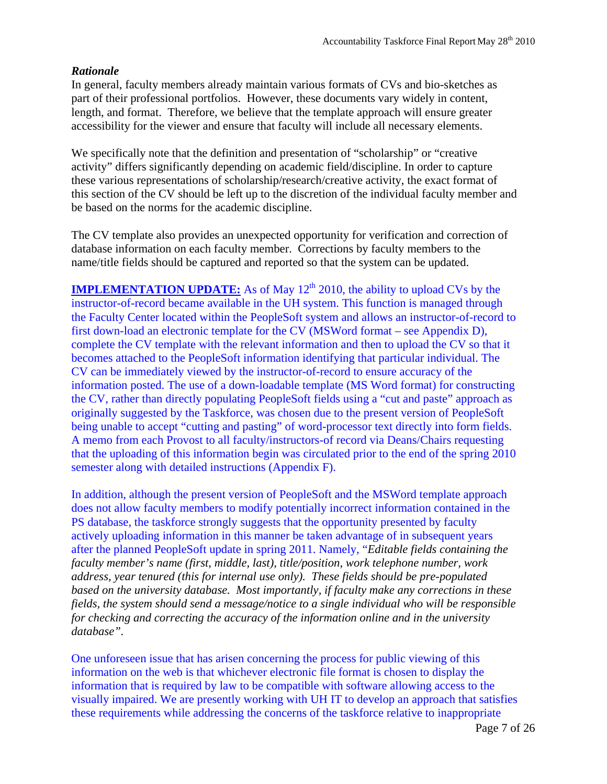#### *Rationale*

In general, faculty members already maintain various formats of CVs and bio-sketches as part of their professional portfolios. However, these documents vary widely in content, length, and format. Therefore, we believe that the template approach will ensure greater accessibility for the viewer and ensure that faculty will include all necessary elements.

We specifically note that the definition and presentation of "scholarship" or "creative activity" differs significantly depending on academic field/discipline. In order to capture these various representations of scholarship/research/creative activity, the exact format of this section of the CV should be left up to the discretion of the individual faculty member and be based on the norms for the academic discipline.

The CV template also provides an unexpected opportunity for verification and correction of database information on each faculty member. Corrections by faculty members to the name/title fields should be captured and reported so that the system can be updated.

**IMPLEMENTATION UPDATE:** As of May  $12<sup>th</sup>$  2010, the ability to upload CVs by the instructor-of-record became available in the UH system. This function is managed through the Faculty Center located within the PeopleSoft system and allows an instructor-of-record to first down-load an electronic template for the CV (MSWord format – see Appendix D), complete the CV template with the relevant information and then to upload the CV so that it becomes attached to the PeopleSoft information identifying that particular individual. The CV can be immediately viewed by the instructor-of-record to ensure accuracy of the information posted. The use of a down-loadable template (MS Word format) for constructing the CV, rather than directly populating PeopleSoft fields using a "cut and paste" approach as originally suggested by the Taskforce, was chosen due to the present version of PeopleSoft being unable to accept "cutting and pasting" of word-processor text directly into form fields. A memo from each Provost to all faculty/instructors-of record via Deans/Chairs requesting that the uploading of this information begin was circulated prior to the end of the spring 2010 semester along with detailed instructions (Appendix F).

In addition, although the present version of PeopleSoft and the MSWord template approach does not allow faculty members to modify potentially incorrect information contained in the PS database, the taskforce strongly suggests that the opportunity presented by faculty actively uploading information in this manner be taken advantage of in subsequent years after the planned PeopleSoft update in spring 2011. Namely, "*Editable fields containing the faculty member's name (first, middle, last), title/position, work telephone number, work address, year tenured (this for internal use only). These fields should be pre-populated based on the university database. Most importantly, if faculty make any corrections in these fields, the system should send a message/notice to a single individual who will be responsible for checking and correcting the accuracy of the information online and in the university database".*

One unforeseen issue that has arisen concerning the process for public viewing of this information on the web is that whichever electronic file format is chosen to display the information that is required by law to be compatible with software allowing access to the visually impaired. We are presently working with UH IT to develop an approach that satisfies these requirements while addressing the concerns of the taskforce relative to inappropriate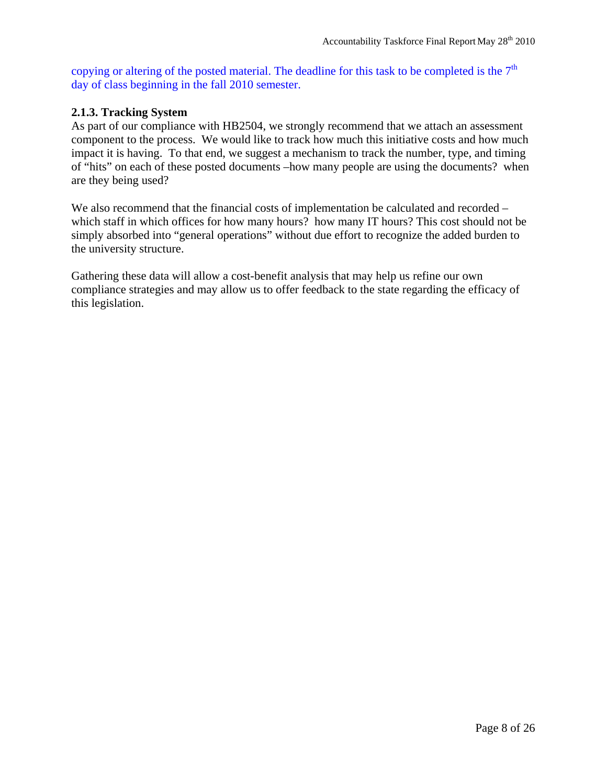copying or altering of the posted material. The deadline for this task to be completed is the  $7<sup>th</sup>$ day of class beginning in the fall 2010 semester.

#### **2.1.3. Tracking System**

As part of our compliance with HB2504, we strongly recommend that we attach an assessment component to the process. We would like to track how much this initiative costs and how much impact it is having. To that end, we suggest a mechanism to track the number, type, and timing of "hits" on each of these posted documents –how many people are using the documents? when are they being used?

We also recommend that the financial costs of implementation be calculated and recorded – which staff in which offices for how many hours? how many IT hours? This cost should not be simply absorbed into "general operations" without due effort to recognize the added burden to the university structure.

Gathering these data will allow a cost-benefit analysis that may help us refine our own compliance strategies and may allow us to offer feedback to the state regarding the efficacy of this legislation.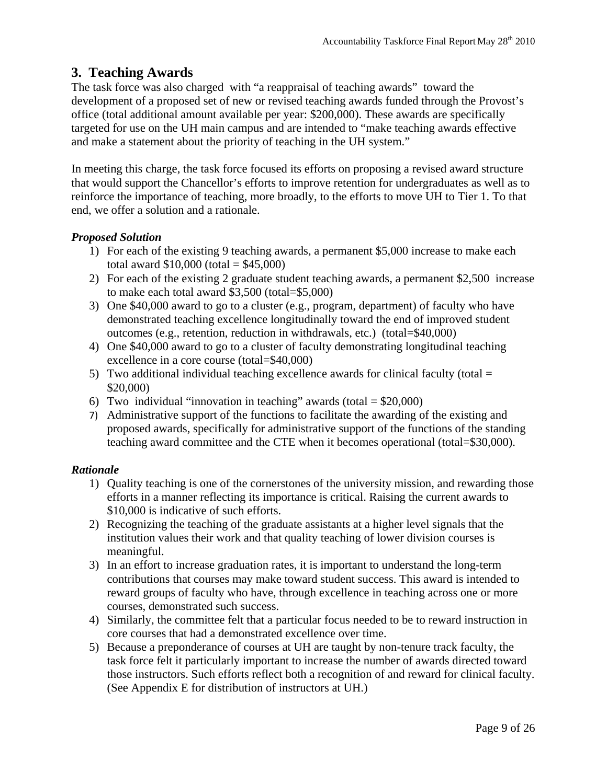## **3. Teaching Awards**

The task force was also charged with "a reappraisal of teaching awards" toward the development of a proposed set of new or revised teaching awards funded through the Provost's office (total additional amount available per year: \$200,000). These awards are specifically targeted for use on the UH main campus and are intended to "make teaching awards effective and make a statement about the priority of teaching in the UH system."

In meeting this charge, the task force focused its efforts on proposing a revised award structure that would support the Chancellor's efforts to improve retention for undergraduates as well as to reinforce the importance of teaching, more broadly, to the efforts to move UH to Tier 1. To that end, we offer a solution and a rationale.

#### *Proposed Solution*

- 1) For each of the existing 9 teaching awards, a permanent \$5,000 increase to make each total award  $$10,000$  (total =  $$45,000$ )
- 2) For each of the existing 2 graduate student teaching awards, a permanent \$2,500 increase to make each total award \$3,500 (total=\$5,000)
- 3) One \$40,000 award to go to a cluster (e.g., program, department) of faculty who have demonstrated teaching excellence longitudinally toward the end of improved student outcomes (e.g., retention, reduction in withdrawals, etc.) (total=\$40,000)
- 4) One \$40,000 award to go to a cluster of faculty demonstrating longitudinal teaching excellence in a core course (total=\$40,000)
- 5) Two additional individual teaching excellence awards for clinical faculty (total  $=$ \$20,000)
- 6) Two individual "innovation in teaching" awards (total  $= $20,000$ )
- 7) Administrative support of the functions to facilitate the awarding of the existing and proposed awards, specifically for administrative support of the functions of the standing teaching award committee and the CTE when it becomes operational (total=\$30,000).

#### *Rationale*

- 1) Quality teaching is one of the cornerstones of the university mission, and rewarding those efforts in a manner reflecting its importance is critical. Raising the current awards to \$10,000 is indicative of such efforts.
- 2) Recognizing the teaching of the graduate assistants at a higher level signals that the institution values their work and that quality teaching of lower division courses is meaningful.
- 3) In an effort to increase graduation rates, it is important to understand the long-term contributions that courses may make toward student success. This award is intended to reward groups of faculty who have, through excellence in teaching across one or more courses, demonstrated such success.
- 4) Similarly, the committee felt that a particular focus needed to be to reward instruction in core courses that had a demonstrated excellence over time.
- 5) Because a preponderance of courses at UH are taught by non-tenure track faculty, the task force felt it particularly important to increase the number of awards directed toward those instructors. Such efforts reflect both a recognition of and reward for clinical faculty. (See Appendix E for distribution of instructors at UH.)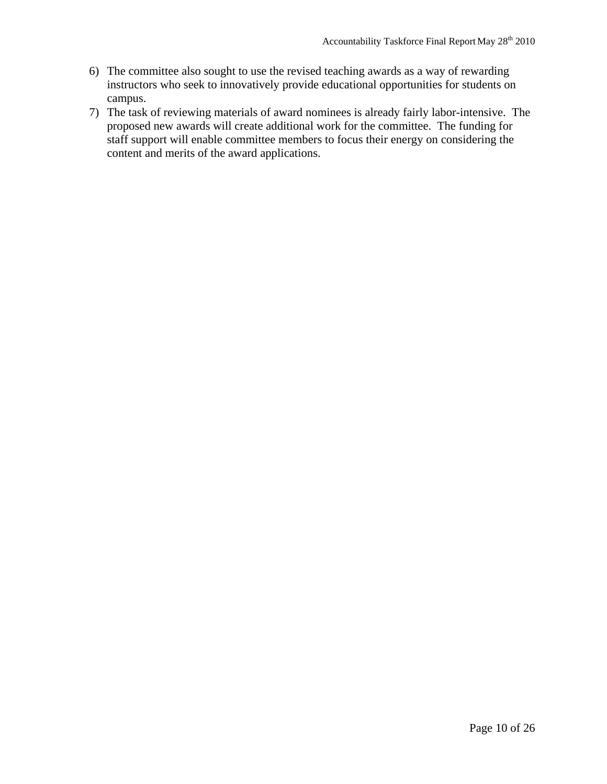- 6) The committee also sought to use the revised teaching awards as a way of rewarding instructors who seek to innovatively provide educational opportunities for students on campus.
- 7) The task of reviewing materials of award nominees is already fairly labor-intensive. The proposed new awards will create additional work for the committee. The funding for staff support will enable committee members to focus their energy on considering the content and merits of the award applications.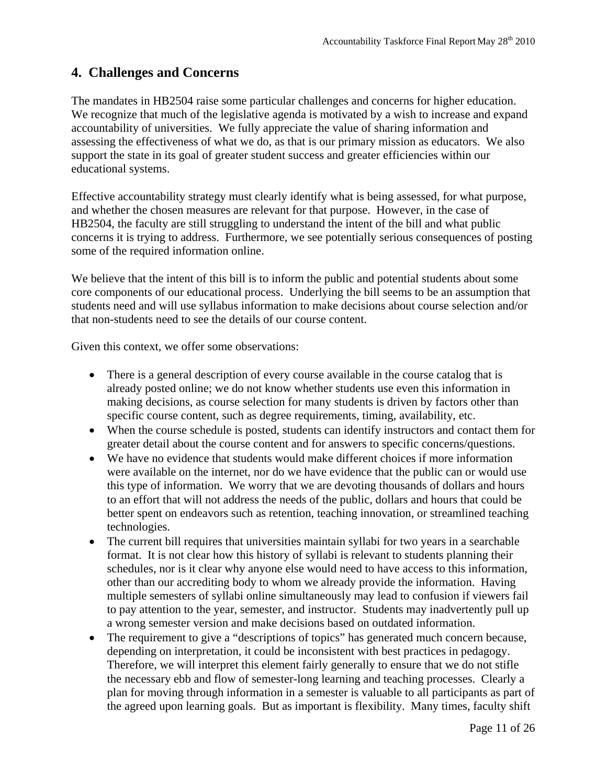# **4. Challenges and Concerns**

The mandates in HB2504 raise some particular challenges and concerns for higher education. We recognize that much of the legislative agenda is motivated by a wish to increase and expand accountability of universities. We fully appreciate the value of sharing information and assessing the effectiveness of what we do, as that is our primary mission as educators. We also support the state in its goal of greater student success and greater efficiencies within our educational systems.

Effective accountability strategy must clearly identify what is being assessed, for what purpose, and whether the chosen measures are relevant for that purpose. However, in the case of HB2504, the faculty are still struggling to understand the intent of the bill and what public concerns it is trying to address. Furthermore, we see potentially serious consequences of posting some of the required information online.

We believe that the intent of this bill is to inform the public and potential students about some core components of our educational process. Underlying the bill seems to be an assumption that students need and will use syllabus information to make decisions about course selection and/or that non-students need to see the details of our course content.

Given this context, we offer some observations:

- There is a general description of every course available in the course catalog that is already posted online; we do not know whether students use even this information in making decisions, as course selection for many students is driven by factors other than specific course content, such as degree requirements, timing, availability, etc.
- When the course schedule is posted, students can identify instructors and contact them for greater detail about the course content and for answers to specific concerns/questions.
- We have no evidence that students would make different choices if more information were available on the internet, nor do we have evidence that the public can or would use this type of information. We worry that we are devoting thousands of dollars and hours to an effort that will not address the needs of the public, dollars and hours that could be better spent on endeavors such as retention, teaching innovation, or streamlined teaching technologies.
- The current bill requires that universities maintain syllabi for two years in a searchable format. It is not clear how this history of syllabi is relevant to students planning their schedules, nor is it clear why anyone else would need to have access to this information, other than our accrediting body to whom we already provide the information. Having multiple semesters of syllabi online simultaneously may lead to confusion if viewers fail to pay attention to the year, semester, and instructor. Students may inadvertently pull up a wrong semester version and make decisions based on outdated information.
- The requirement to give a "descriptions of topics" has generated much concern because, depending on interpretation, it could be inconsistent with best practices in pedagogy. Therefore, we will interpret this element fairly generally to ensure that we do not stifle the necessary ebb and flow of semester-long learning and teaching processes. Clearly a plan for moving through information in a semester is valuable to all participants as part of the agreed upon learning goals. But as important is flexibility. Many times, faculty shift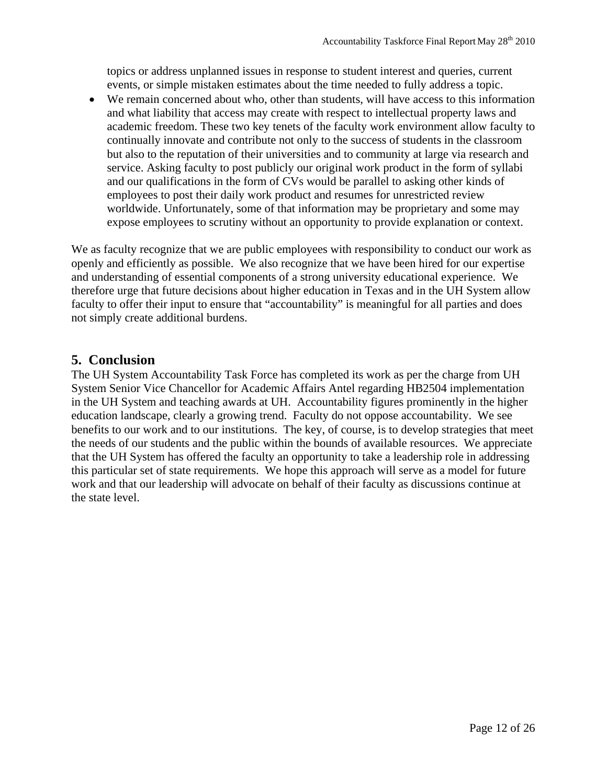topics or address unplanned issues in response to student interest and queries, current events, or simple mistaken estimates about the time needed to fully address a topic.

 We remain concerned about who, other than students, will have access to this information and what liability that access may create with respect to intellectual property laws and academic freedom. These two key tenets of the faculty work environment allow faculty to continually innovate and contribute not only to the success of students in the classroom but also to the reputation of their universities and to community at large via research and service. Asking faculty to post publicly our original work product in the form of syllabi and our qualifications in the form of CVs would be parallel to asking other kinds of employees to post their daily work product and resumes for unrestricted review worldwide. Unfortunately, some of that information may be proprietary and some may expose employees to scrutiny without an opportunity to provide explanation or context.

We as faculty recognize that we are public employees with responsibility to conduct our work as openly and efficiently as possible. We also recognize that we have been hired for our expertise and understanding of essential components of a strong university educational experience. We therefore urge that future decisions about higher education in Texas and in the UH System allow faculty to offer their input to ensure that "accountability" is meaningful for all parties and does not simply create additional burdens.

#### **5. Conclusion**

The UH System Accountability Task Force has completed its work as per the charge from UH System Senior Vice Chancellor for Academic Affairs Antel regarding HB2504 implementation in the UH System and teaching awards at UH. Accountability figures prominently in the higher education landscape, clearly a growing trend. Faculty do not oppose accountability. We see benefits to our work and to our institutions. The key, of course, is to develop strategies that meet the needs of our students and the public within the bounds of available resources. We appreciate that the UH System has offered the faculty an opportunity to take a leadership role in addressing this particular set of state requirements. We hope this approach will serve as a model for future work and that our leadership will advocate on behalf of their faculty as discussions continue at the state level.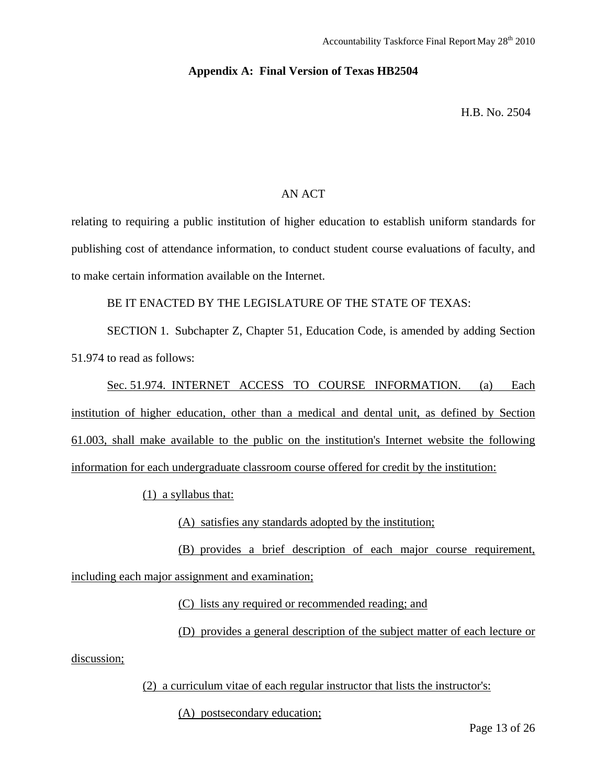#### **Appendix A: Final Version of Texas HB2504**

H.B. No. 2504

#### AN ACT

relating to requiring a public institution of higher education to establish uniform standards for publishing cost of attendance information, to conduct student course evaluations of faculty, and to make certain information available on the Internet.

BE IT ENACTED BY THE LEGISLATURE OF THE STATE OF TEXAS:

SECTION 1. Subchapter Z, Chapter 51, Education Code, is amended by adding Section 51.974 to read as follows:

Sec. 51.974. INTERNET ACCESS TO COURSE INFORMATION. (a) Each institution of higher education, other than a medical and dental unit, as defined by Section 61.003, shall make available to the public on the institution's Internet website the following information for each undergraduate classroom course offered for credit by the institution:

(1) a syllabus that:

(A) satisfies any standards adopted by the institution;

(B) provides a brief description of each major course requirement, including each major assignment and examination;

(C) lists any required or recommended reading; and

(D) provides a general description of the subject matter of each lecture or

discussion;

(2) a curriculum vitae of each regular instructor that lists the instructor's:

(A) postsecondary education;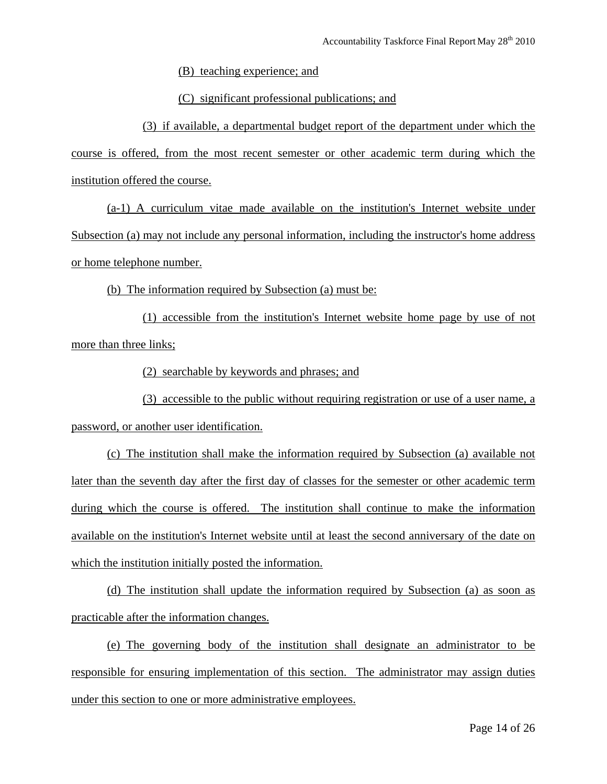(B) teaching experience; and

(C) significant professional publications; and

(3) if available, a departmental budget report of the department under which the course is offered, from the most recent semester or other academic term during which the institution offered the course.

(a-1) A curriculum vitae made available on the institution's Internet website under Subsection (a) may not include any personal information, including the instructor's home address or home telephone number.

(b) The information required by Subsection (a) must be:

(1) accessible from the institution's Internet website home page by use of not more than three links;

(2) searchable by keywords and phrases; and

(3) accessible to the public without requiring registration or use of a user name, a password, or another user identification.

(c) The institution shall make the information required by Subsection (a) available not later than the seventh day after the first day of classes for the semester or other academic term during which the course is offered. The institution shall continue to make the information available on the institution's Internet website until at least the second anniversary of the date on which the institution initially posted the information.

(d) The institution shall update the information required by Subsection (a) as soon as practicable after the information changes.

(e) The governing body of the institution shall designate an administrator to be responsible for ensuring implementation of this section. The administrator may assign duties under this section to one or more administrative employees.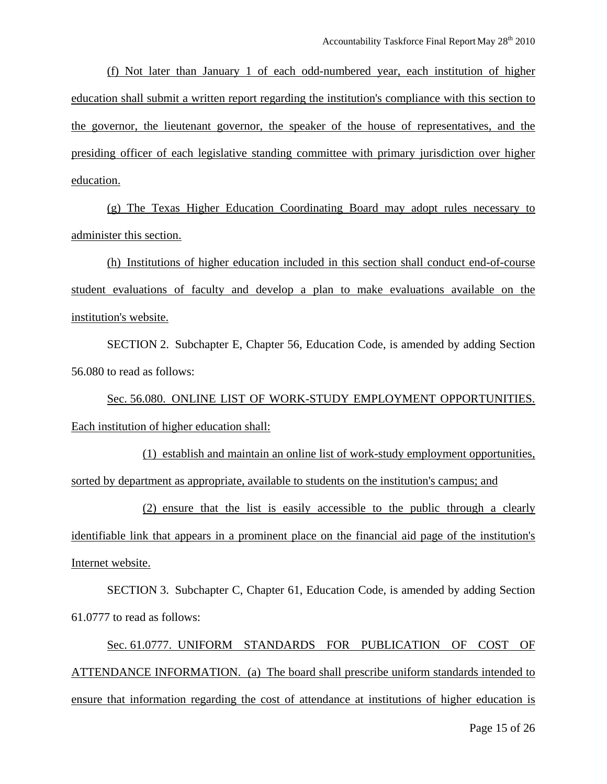(f) Not later than January 1 of each odd-numbered year, each institution of higher education shall submit a written report regarding the institution's compliance with this section to the governor, the lieutenant governor, the speaker of the house of representatives, and the presiding officer of each legislative standing committee with primary jurisdiction over higher education.

(g) The Texas Higher Education Coordinating Board may adopt rules necessary to administer this section.

(h) Institutions of higher education included in this section shall conduct end-of-course student evaluations of faculty and develop a plan to make evaluations available on the institution's website.

SECTION 2. Subchapter E, Chapter 56, Education Code, is amended by adding Section 56.080 to read as follows:

Sec. 56.080. ONLINE LIST OF WORK-STUDY EMPLOYMENT OPPORTUNITIES. Each institution of higher education shall:

(1) establish and maintain an online list of work-study employment opportunities, sorted by department as appropriate, available to students on the institution's campus; and

(2) ensure that the list is easily accessible to the public through a clearly identifiable link that appears in a prominent place on the financial aid page of the institution's Internet website.

SECTION 3. Subchapter C, Chapter 61, Education Code, is amended by adding Section 61.0777 to read as follows:

Sec. 61.0777. UNIFORM STANDARDS FOR PUBLICATION OF COST OF ATTENDANCE INFORMATION. (a) The board shall prescribe uniform standards intended to ensure that information regarding the cost of attendance at institutions of higher education is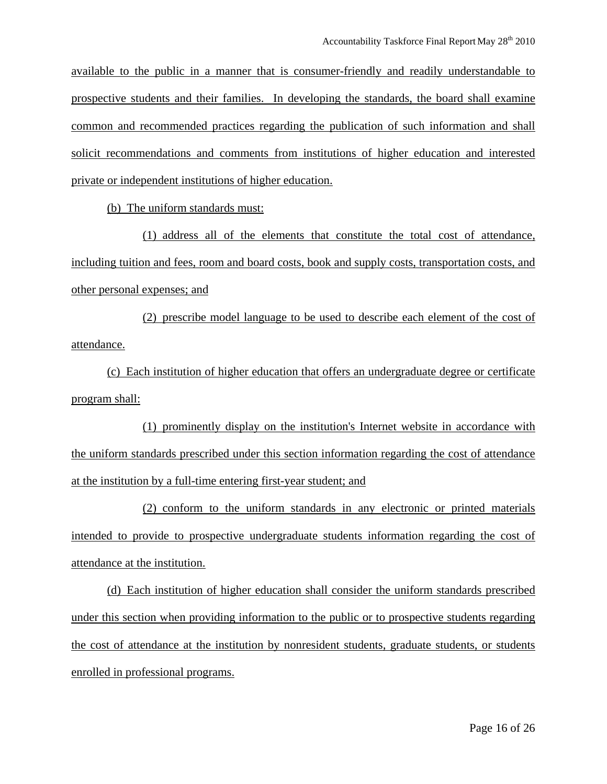available to the public in a manner that is consumer-friendly and readily understandable to prospective students and their families. In developing the standards, the board shall examine common and recommended practices regarding the publication of such information and shall solicit recommendations and comments from institutions of higher education and interested private or independent institutions of higher education.

(b) The uniform standards must:

(1) address all of the elements that constitute the total cost of attendance, including tuition and fees, room and board costs, book and supply costs, transportation costs, and other personal expenses; and

(2) prescribe model language to be used to describe each element of the cost of attendance.

(c) Each institution of higher education that offers an undergraduate degree or certificate program shall:

(1) prominently display on the institution's Internet website in accordance with the uniform standards prescribed under this section information regarding the cost of attendance at the institution by a full-time entering first-year student; and

(2) conform to the uniform standards in any electronic or printed materials intended to provide to prospective undergraduate students information regarding the cost of attendance at the institution.

(d) Each institution of higher education shall consider the uniform standards prescribed under this section when providing information to the public or to prospective students regarding the cost of attendance at the institution by nonresident students, graduate students, or students enrolled in professional programs.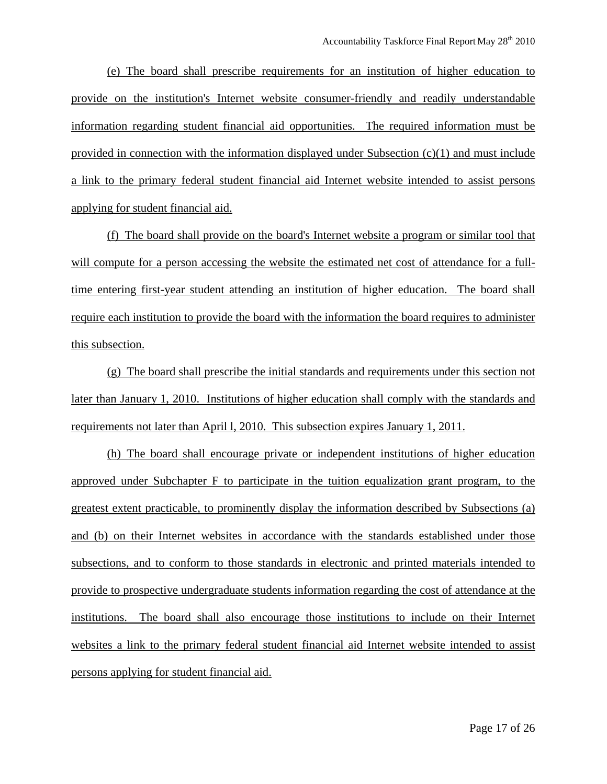(e) The board shall prescribe requirements for an institution of higher education to provide on the institution's Internet website consumer-friendly and readily understandable information regarding student financial aid opportunities. The required information must be provided in connection with the information displayed under Subsection  $(c)(1)$  and must include a link to the primary federal student financial aid Internet website intended to assist persons applying for student financial aid.

(f) The board shall provide on the board's Internet website a program or similar tool that will compute for a person accessing the website the estimated net cost of attendance for a fulltime entering first-year student attending an institution of higher education. The board shall require each institution to provide the board with the information the board requires to administer this subsection.

(g) The board shall prescribe the initial standards and requirements under this section not later than January 1, 2010. Institutions of higher education shall comply with the standards and requirements not later than April l, 2010. This subsection expires January 1, 2011.

(h) The board shall encourage private or independent institutions of higher education approved under Subchapter F to participate in the tuition equalization grant program, to the greatest extent practicable, to prominently display the information described by Subsections (a) and (b) on their Internet websites in accordance with the standards established under those subsections, and to conform to those standards in electronic and printed materials intended to provide to prospective undergraduate students information regarding the cost of attendance at the institutions. The board shall also encourage those institutions to include on their Internet websites a link to the primary federal student financial aid Internet website intended to assist persons applying for student financial aid.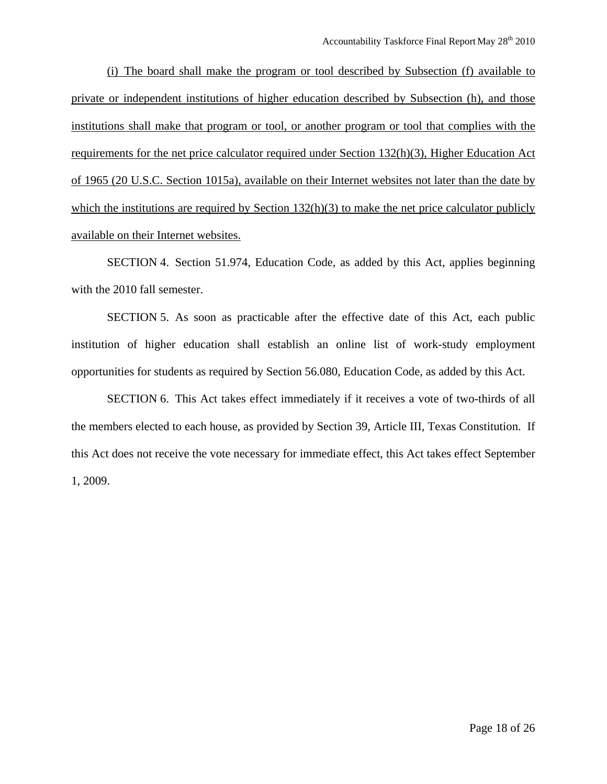(i) The board shall make the program or tool described by Subsection (f) available to private or independent institutions of higher education described by Subsection (h), and those institutions shall make that program or tool, or another program or tool that complies with the requirements for the net price calculator required under Section 132(h)(3), Higher Education Act of 1965 (20 U.S.C. Section 1015a), available on their Internet websites not later than the date by which the institutions are required by Section 132(h)(3) to make the net price calculator publicly available on their Internet websites.

SECTION 4. Section 51.974, Education Code, as added by this Act, applies beginning with the 2010 fall semester.

SECTION 5. As soon as practicable after the effective date of this Act, each public institution of higher education shall establish an online list of work-study employment opportunities for students as required by Section 56.080, Education Code, as added by this Act.

SECTION 6. This Act takes effect immediately if it receives a vote of two-thirds of all the members elected to each house, as provided by Section 39, Article III, Texas Constitution. If this Act does not receive the vote necessary for immediate effect, this Act takes effect September 1, 2009.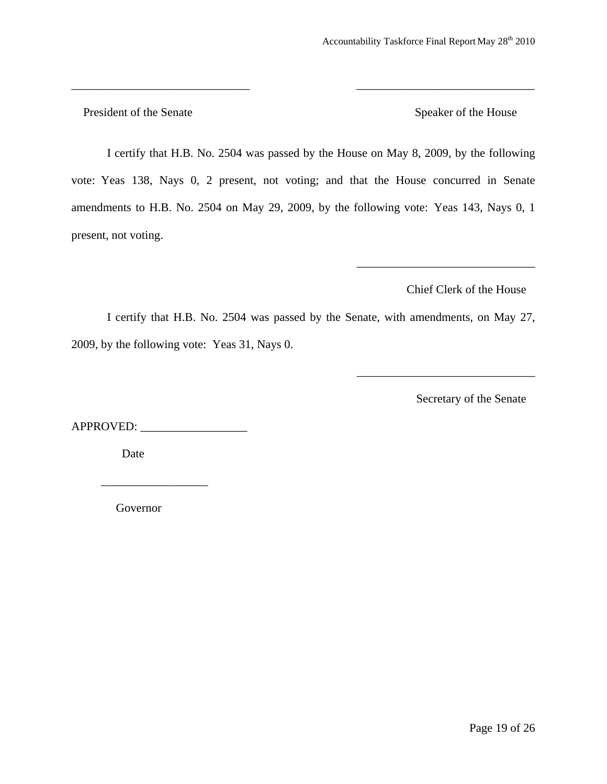President of the Senate Speaker of the House

I certify that H.B. No. 2504 was passed by the House on May 8, 2009, by the following vote: Yeas 138, Nays 0, 2 present, not voting; and that the House concurred in Senate amendments to H.B. No. 2504 on May 29, 2009, by the following vote: Yeas 143, Nays 0, 1 present, not voting.

\_\_\_\_\_\_\_\_\_\_\_\_\_\_\_\_\_\_\_\_\_\_\_\_\_\_\_\_\_\_ \_\_\_\_\_\_\_\_\_\_\_\_\_\_\_\_\_\_\_\_\_\_\_\_\_\_\_\_\_\_

Chief Clerk of the House

\_\_\_\_\_\_\_\_\_\_\_\_\_\_\_\_\_\_\_\_\_\_\_\_\_\_\_\_\_\_

\_\_\_\_\_\_\_\_\_\_\_\_\_\_\_\_\_\_\_\_\_\_\_\_\_\_\_\_\_\_

I certify that H.B. No. 2504 was passed by the Senate, with amendments, on May 27, 2009, by the following vote: Yeas 31, Nays 0.

Secretary of the Senate

APPROVED: \_\_\_\_\_\_\_\_\_\_\_\_\_\_\_\_\_\_

Date

Governor

 $\overline{\phantom{a}}$  ,  $\overline{\phantom{a}}$  ,  $\overline{\phantom{a}}$  ,  $\overline{\phantom{a}}$  ,  $\overline{\phantom{a}}$  ,  $\overline{\phantom{a}}$  ,  $\overline{\phantom{a}}$  ,  $\overline{\phantom{a}}$  ,  $\overline{\phantom{a}}$  ,  $\overline{\phantom{a}}$  ,  $\overline{\phantom{a}}$  ,  $\overline{\phantom{a}}$  ,  $\overline{\phantom{a}}$  ,  $\overline{\phantom{a}}$  ,  $\overline{\phantom{a}}$  ,  $\overline{\phantom{a}}$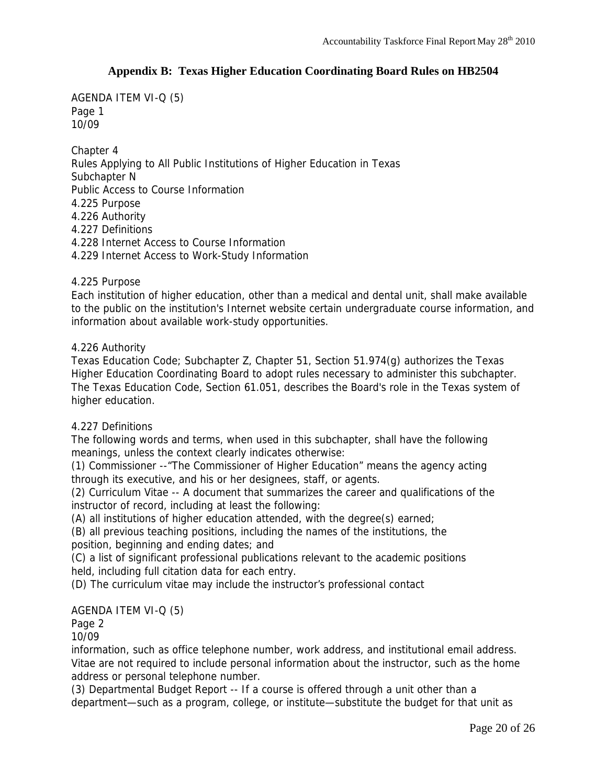#### **Appendix B: Texas Higher Education Coordinating Board Rules on HB2504**

AGENDA ITEM VI-Q (5) Page 1 10/09

Chapter 4 Rules Applying to All Public Institutions of Higher Education in Texas Subchapter N Public Access to Course Information 4.225 Purpose 4.226 Authority 4.227 Definitions 4.228 Internet Access to Course Information 4.229 Internet Access to Work-Study Information

#### 4.225 Purpose

Each institution of higher education, other than a medical and dental unit, shall make available to the public on the institution's Internet website certain undergraduate course information, and information about available work-study opportunities.

#### 4.226 Authority

Texas Education Code; Subchapter Z, Chapter 51, Section 51.974(g) authorizes the Texas Higher Education Coordinating Board to adopt rules necessary to administer this subchapter. The Texas Education Code, Section 61.051, describes the Board's role in the Texas system of higher education.

#### 4.227 Definitions

The following words and terms, when used in this subchapter, shall have the following meanings, unless the context clearly indicates otherwise:

(1) Commissioner --"The Commissioner of Higher Education" means the agency acting through its executive, and his or her designees, staff, or agents.

(2) Curriculum Vitae -- A document that summarizes the career and qualifications of the instructor of record, including at least the following:

(A) all institutions of higher education attended, with the degree(s) earned;

(B) all previous teaching positions, including the names of the institutions, the position, beginning and ending dates; and

(C) a list of significant professional publications relevant to the academic positions held, including full citation data for each entry.

(D) The curriculum vitae may include the instructor's professional contact

#### AGENDA ITEM VI-Q (5)

Page 2

10/09

information, such as office telephone number, work address, and institutional email address. Vitae are not required to include personal information about the instructor, such as the home address or personal telephone number.

(3) Departmental Budget Report -- If a course is offered through a unit other than a department—such as a program, college, or institute—substitute the budget for that unit as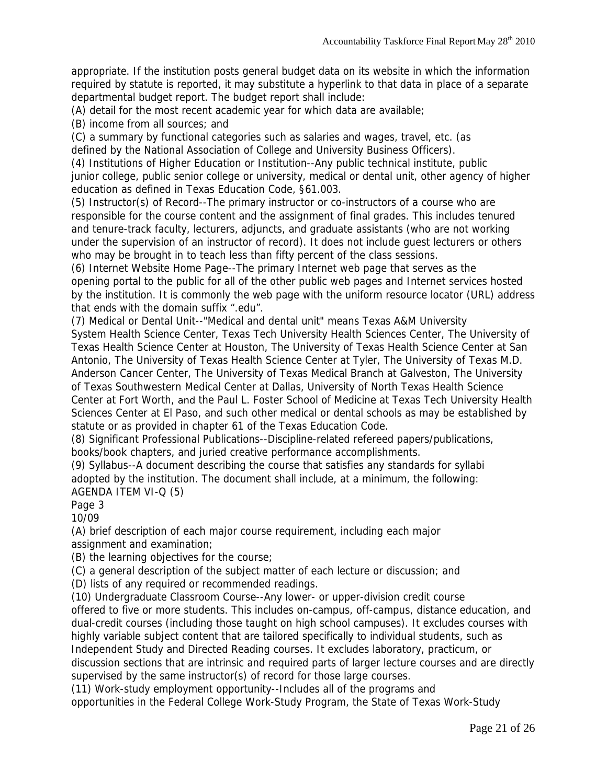appropriate. If the institution posts general budget data on its website in which the information required by statute is reported, it may substitute a hyperlink to that data in place of a separate departmental budget report. The budget report shall include:

(A) detail for the most recent academic year for which data are available;

(B) income from all sources; and

(C) a summary by functional categories such as salaries and wages, travel, etc. (as defined by the National Association of College and University Business Officers).

(4) Institutions of Higher Education or Institution--Any public technical institute, public junior college, public senior college or university, medical or dental unit, other agency of higher education as defined in Texas Education Code, §61.003.

(5) Instructor(s) of Record--The primary instructor or co-instructors of a course who are responsible for the course content and the assignment of final grades. This includes tenured and tenure-track faculty, lecturers, adjuncts, and graduate assistants (who are not working under the supervision of an instructor of record). It does not include guest lecturers or others who may be brought in to teach less than fifty percent of the class sessions.

(6) Internet Website Home Page--The primary Internet web page that serves as the opening portal to the public for all of the other public web pages and Internet services hosted by the institution. It is commonly the web page with the uniform resource locator (URL) address that ends with the domain suffix ".edu".

(7) Medical or Dental Unit--"Medical and dental unit" means Texas A&M University

System Health Science Center, Texas Tech University Health Sciences Center, The University of Texas Health Science Center at Houston, The University of Texas Health Science Center at San Antonio, The University of Texas Health Science Center at Tyler, The University of Texas M.D. Anderson Cancer Center, The University of Texas Medical Branch at Galveston, The University of Texas Southwestern Medical Center at Dallas, University of North Texas Health Science Center at Fort Worth, and the Paul L. Foster School of Medicine at Texas Tech University Health Sciences Center at El Paso, and such other medical or dental schools as may be established by statute or as provided in chapter 61 of the Texas Education Code.

(8) Significant Professional Publications--Discipline-related refereed papers/publications, books/book chapters, and juried creative performance accomplishments.

(9) Syllabus--A document describing the course that satisfies any standards for syllabi adopted by the institution. The document shall include, at a minimum, the following: AGENDA ITEM VI-Q (5)

Page 3

10/09

(A) brief description of each major course requirement, including each major assignment and examination;

(B) the learning objectives for the course;

(C) a general description of the subject matter of each lecture or discussion; and

(D) lists of any required or recommended readings.

(10) Undergraduate Classroom Course--Any lower- or upper-division credit course offered to five or more students. This includes on-campus, off-campus, distance education, and dual-credit courses (including those taught on high school campuses). It excludes courses with highly variable subject content that are tailored specifically to individual students, such as Independent Study and Directed Reading courses. It excludes laboratory, practicum, or discussion sections that are intrinsic and required parts of larger lecture courses and are directly supervised by the same instructor(s) of record for those large courses.

(11) Work-study employment opportunity--Includes all of the programs and opportunities in the Federal College Work-Study Program, the State of Texas Work-Study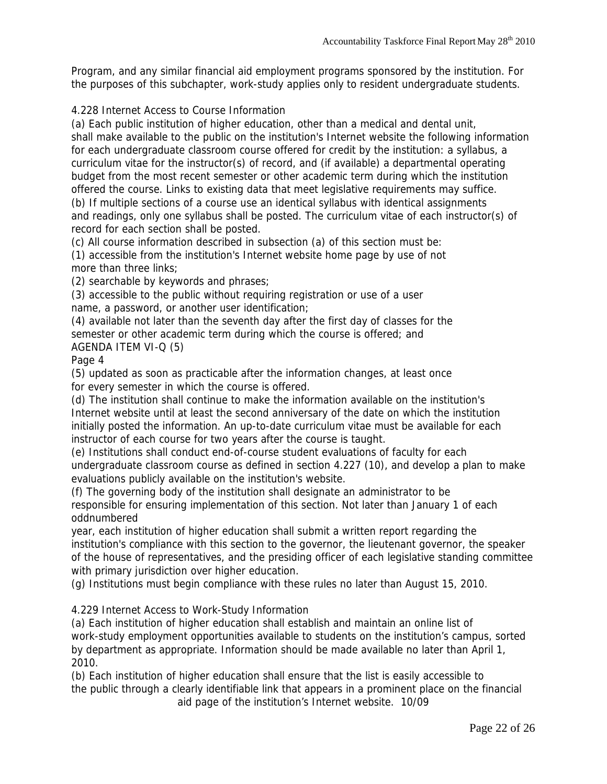Program, and any similar financial aid employment programs sponsored by the institution. For the purposes of this subchapter, work-study applies only to resident undergraduate students.

#### 4.228 Internet Access to Course Information

(a) Each public institution of higher education, other than a medical and dental unit, shall make available to the public on the institution's Internet website the following information for each undergraduate classroom course offered for credit by the institution: a syllabus, a curriculum vitae for the instructor(s) of record, and (if available) a departmental operating budget from the most recent semester or other academic term during which the institution offered the course. Links to existing data that meet legislative requirements may suffice. (b) If multiple sections of a course use an identical syllabus with identical assignments and readings, only one syllabus shall be posted. The curriculum vitae of each instructor(s) of record for each section shall be posted.

(c) All course information described in subsection (a) of this section must be:

(1) accessible from the institution's Internet website home page by use of not more than three links;

(2) searchable by keywords and phrases;

(3) accessible to the public without requiring registration or use of a user name, a password, or another user identification;

(4) available not later than the seventh day after the first day of classes for the semester or other academic term during which the course is offered; and AGENDA ITEM VI-Q (5)

Page 4

(5) updated as soon as practicable after the information changes, at least once for every semester in which the course is offered.

(d) The institution shall continue to make the information available on the institution's Internet website until at least the second anniversary of the date on which the institution initially posted the information. An up-to-date curriculum vitae must be available for each instructor of each course for two years after the course is taught.

(e) Institutions shall conduct end-of-course student evaluations of faculty for each undergraduate classroom course as defined in section 4.227 (10), and develop a plan to make evaluations publicly available on the institution's website.

(f) The governing body of the institution shall designate an administrator to be responsible for ensuring implementation of this section. Not later than January 1 of each oddnumbered

year, each institution of higher education shall submit a written report regarding the institution's compliance with this section to the governor, the lieutenant governor, the speaker of the house of representatives, and the presiding officer of each legislative standing committee with primary jurisdiction over higher education.

(g) Institutions must begin compliance with these rules no later than August 15, 2010.

4.229 Internet Access to Work-Study Information

(a) Each institution of higher education shall establish and maintain an online list of work-study employment opportunities available to students on the institution's campus, sorted by department as appropriate. Information should be made available no later than April 1, 2010.

(b) Each institution of higher education shall ensure that the list is easily accessible to the public through a clearly identifiable link that appears in a prominent place on the financial aid page of the institution's Internet website. 10/09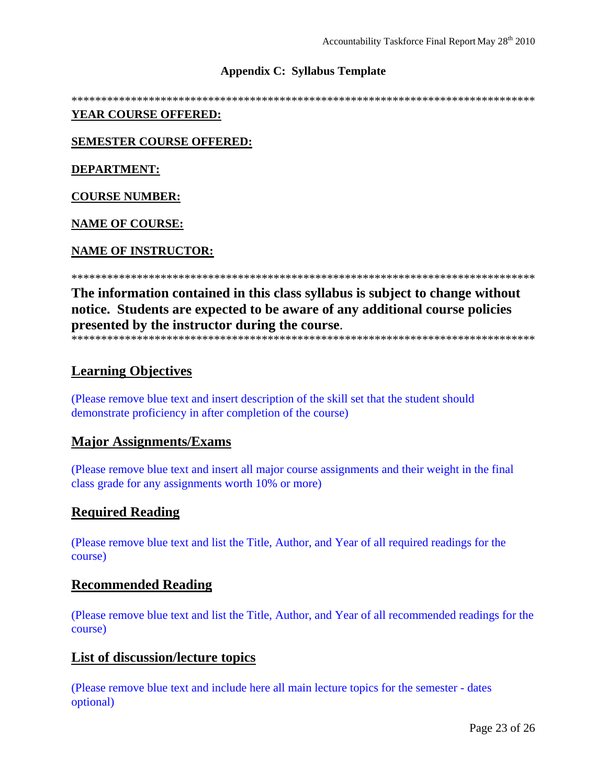#### **Appendix C: Syllabus Template**

\*\*\*\*\*\*\*\*\*\*\*\*\*\*\*\*\*\*\*\*\*\*\*\*\*\*\*\*\*\*\*\*\*\*\*\*\*\*\*\*\*\*\*\*\*\*\*\*\*\*\*\*\*\*\*\*\*\*\*\*\*\*\*\*\*\*\*\*\*\*\*\*\*\*\*\*\*\*

#### **YEAR COURSE OFFERED:**

**SEMESTER COURSE OFFERED:**

**DEPARTMENT:**

**COURSE NUMBER:**

**NAME OF COURSE:**

#### **NAME OF INSTRUCTOR:**

\*\*\*\*\*\*\*\*\*\*\*\*\*\*\*\*\*\*\*\*\*\*\*\*\*\*\*\*\*\*\*\*\*\*\*\*\*\*\*\*\*\*\*\*\*\*\*\*\*\*\*\*\*\*\*\*\*\*\*\*\*\*\*\*\*\*\*\*\*\*\*\*\*\*\*\*\*\*

**The information contained in this class syllabus is subject to change without notice. Students are expected to be aware of any additional course policies presented by the instructor during the course**. \*\*\*\*\*\*\*\*\*\*\*\*\*\*\*\*\*\*\*\*\*\*\*\*\*\*\*\*\*\*\*\*\*\*\*\*\*\*\*\*\*\*\*\*\*\*\*\*\*\*\*\*\*\*\*\*\*\*\*\*\*\*\*\*\*\*\*\*\*\*\*\*\*\*\*\*\*\*

#### **Learning Objectives**

(Please remove blue text and insert description of the skill set that the student should demonstrate proficiency in after completion of the course)

#### **Major Assignments/Exams**

(Please remove blue text and insert all major course assignments and their weight in the final class grade for any assignments worth 10% or more)

#### **Required Reading**

(Please remove blue text and list the Title, Author, and Year of all required readings for the course)

#### **Recommended Reading**

(Please remove blue text and list the Title, Author, and Year of all recommended readings for the course)

#### **List of discussion/lecture topics**

(Please remove blue text and include here all main lecture topics for the semester - dates optional)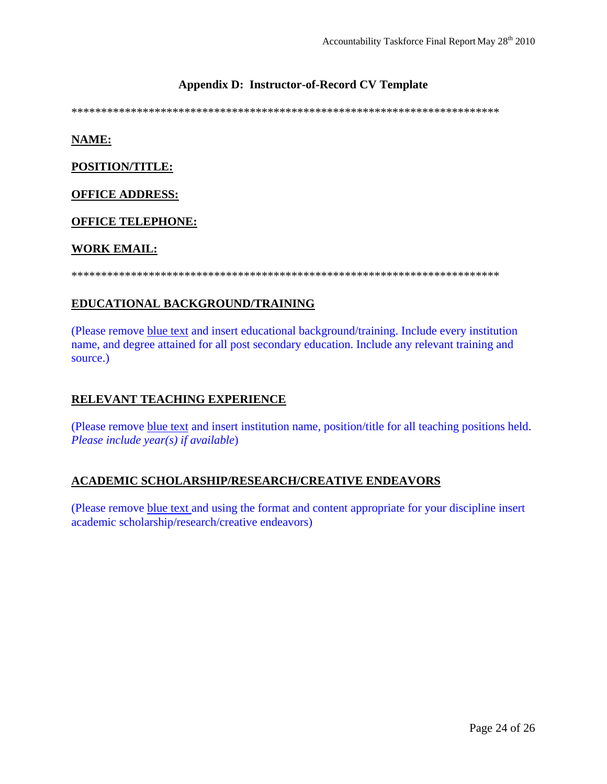#### **Appendix D: Instructor-of-Record CV Template**

\*\*\*\*\*\*\*\*\*\*\*\*\*\*\*\*\*\*\*\*\*\*\*\*\*\*\*\*\*\*\*\*\*\*\*\*\*\*\*\*\*\*\*\*\*\*\*\*\*\*\*\*\*\*\*\*\*\*\*\*\*\*\*\*\*\*\*\*\*\*\*\*

#### **NAME:**

**POSITION/TITLE:**

#### **OFFICE ADDRESS:**

#### **OFFICE TELEPHONE:**

#### **WORK EMAIL:**

\*\*\*\*\*\*\*\*\*\*\*\*\*\*\*\*\*\*\*\*\*\*\*\*\*\*\*\*\*\*\*\*\*\*\*\*\*\*\*\*\*\*\*\*\*\*\*\*\*\*\*\*\*\*\*\*\*\*\*\*\*\*\*\*\*\*\*\*\*\*\*\*

#### **EDUCATIONAL BACKGROUND/TRAINING**

(Please remove blue text and insert educational background/training. Include every institution name, and degree attained for all post secondary education. Include any relevant training and source.)

#### **RELEVANT TEACHING EXPERIENCE**

(Please remove blue text and insert institution name, position/title for all teaching positions held. *Please include year(s) if available*)

#### **ACADEMIC SCHOLARSHIP/RESEARCH/CREATIVE ENDEAVORS**

(Please remove blue text and using the format and content appropriate for your discipline insert academic scholarship/research/creative endeavors)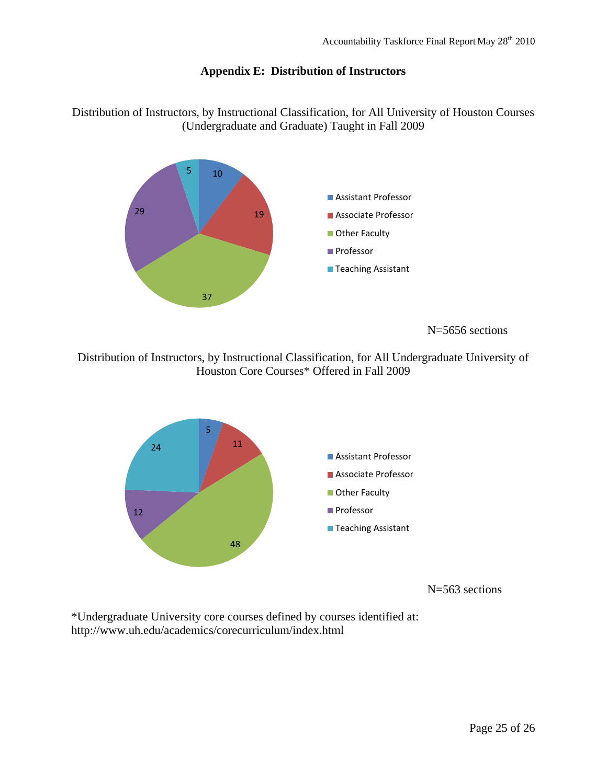#### **Appendix E: Distribution of Instructors**

Distribution of Instructors, by Instructional Classification, for All University of Houston Courses (Undergraduate and Graduate) Taught in Fall 2009



Distribution of Instructors, by Instructional Classification, for All Undergraduate University of Houston Core Courses\* Offered in Fall 2009



N=563 sections

\*Undergraduate University core courses defined by courses identified at: http://www.uh.edu/academics/corecurriculum/index.html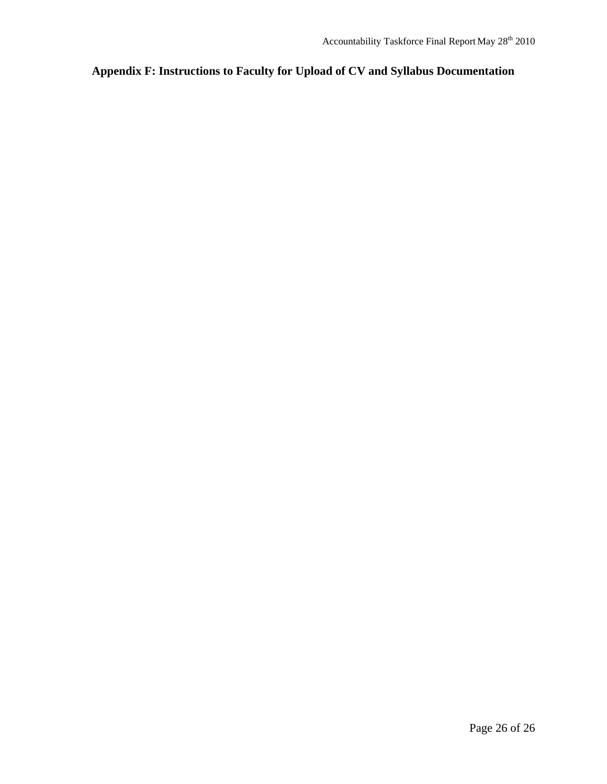## **Appendix F: Instructions to Faculty for Upload of CV and Syllabus Documentation**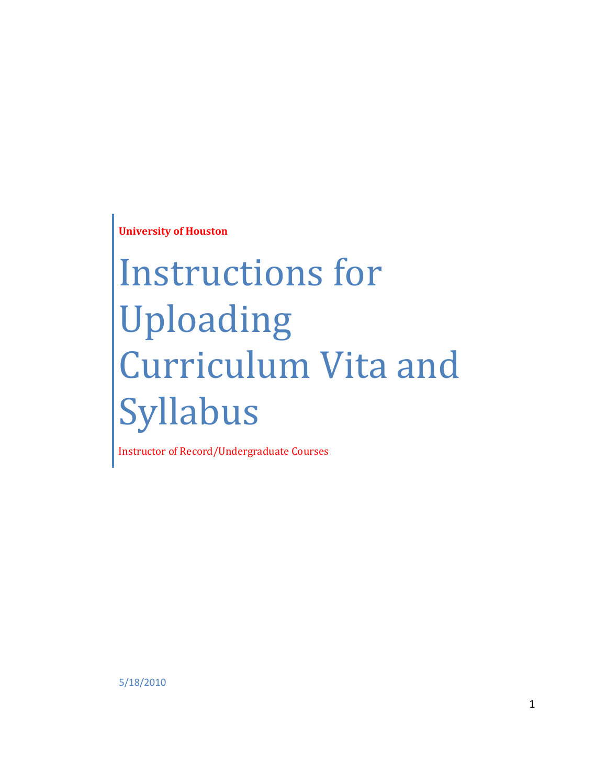**University of Houston**

# Instructions for Uploading Curriculum Vita and Syllabus

Instructor of Record/Undergraduate Courses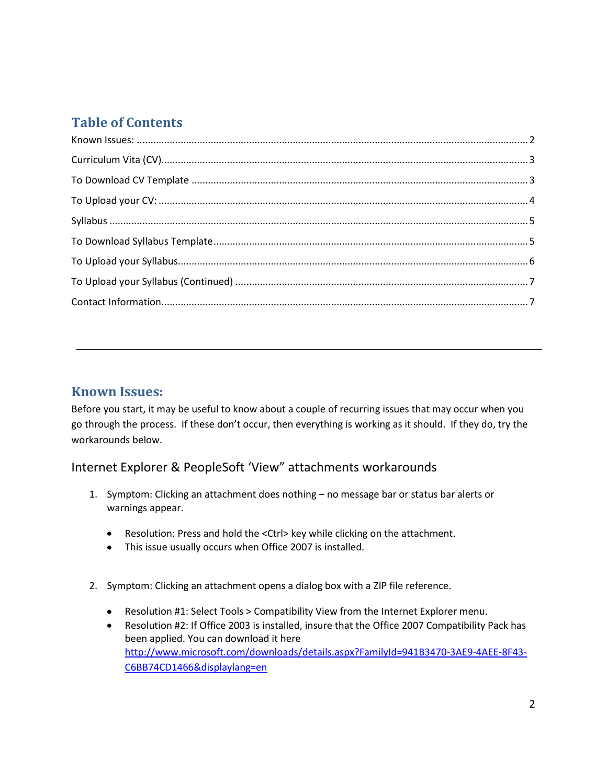# **Table of Contents**

## <span id="page-27-0"></span>**Known Issues:**

Before you start, it may be useful to know about a couple of recurring issues that may occur when you go through the process. If these don't occur, then everything is working as it should. If they do, try the workarounds below.

## Internet Explorer & PeopleSoft 'View" attachments workarounds

- 1. Symptom: Clicking an attachment does nothing no message bar or status bar alerts or warnings appear.
	- Resolution: Press and hold the <Ctrl> key while clicking on the attachment.
	- This issue usually occurs when Office 2007 is installed.
- 2. Symptom: Clicking an attachment opens a dialog box with a ZIP file reference.
	- Resolution #1: Select Tools > Compatibility View from the Internet Explorer menu.
	- Resolution #2: If Office 2003 is installed, insure that the Office 2007 Compatibility Pack has been applied. You can download it here [http://www.microsoft.com/downloads/details.aspx?FamilyId=941B3470-3AE9-4AEE-8F43-](http://www.microsoft.com/downloads/details.aspx?FamilyId=941B3470-3AE9-4AEE-8F43-C6BB74CD1466&displaylang=en) [C6BB74CD1466&displaylang=en](http://www.microsoft.com/downloads/details.aspx?FamilyId=941B3470-3AE9-4AEE-8F43-C6BB74CD1466&displaylang=en)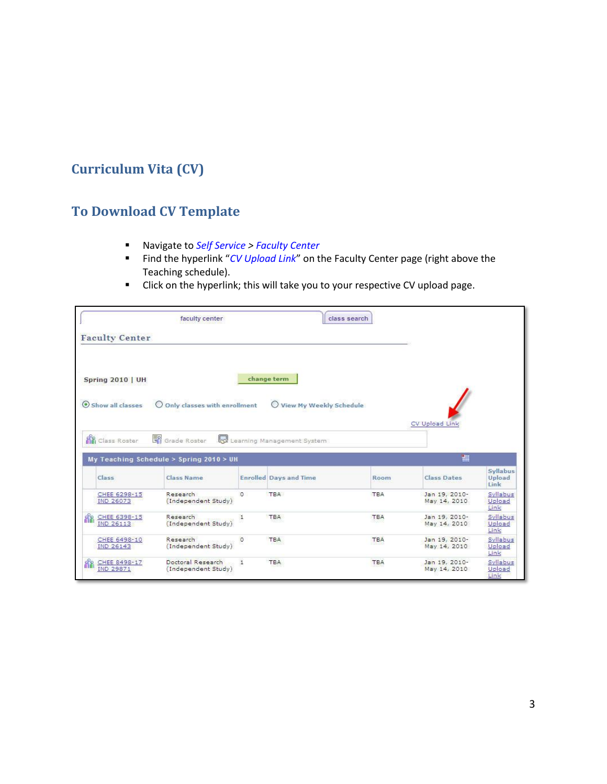# <span id="page-28-1"></span><span id="page-28-0"></span>**Curriculum Vita (CV)**

# **To Download CV Template**

- Navigate to *Self Service > Faculty Center*
- Find the hyperlink "*CV Upload Link*" on the Faculty Center page (right above the Teaching schedule).
- Click on the hyperlink; this will take you to your respective CV upload page.

|          | <b>Faculty Center</b>                                | faculty center                                     |         |                                       | class search |                               |                                                    |
|----------|------------------------------------------------------|----------------------------------------------------|---------|---------------------------------------|--------------|-------------------------------|----------------------------------------------------|
|          | <b>Spring 2010   UH</b>                              |                                                    |         | change term                           |              |                               |                                                    |
|          | Show all classes<br>$\circ$<br><b>R</b> Class Roster | Only classes with enrollment<br>Grade Roster<br>IJ |         | View My Weekly Schedule<br>$\bigcirc$ |              | CV Upload Link                |                                                    |
|          |                                                      |                                                    |         | Learning Management System            |              |                               |                                                    |
|          |                                                      | My Teaching Schedule > Spring 2010 > UH            |         |                                       |              | 钿                             |                                                    |
|          | Class                                                | Class Name                                         |         | <b>Enrolled Days and Time</b>         | Room         | <b>Class Dates</b>            | Syllabus<br>Upload<br>Link                         |
|          | CHEE 6298-15<br><b>IND 26073</b>                     | Research<br>(Independent Study)                    | $\circ$ | TBA                                   | <b>TBA</b>   | Jan 19, 2010-<br>May 14, 2010 | Upload<br>Link                                     |
|          | CHEE 6398-15<br><b>IND 26113</b>                     | Research<br>(Independent Study)                    | 1       | TBA                                   | <b>TBA</b>   | Jan 19, 2010-<br>May 14, 2010 | Upload<br>Link                                     |
| <b>A</b> | CHEE 6498-10<br><b>IND 26143</b>                     | Research<br>(Independent Study)                    | $\circ$ | <b>TBA</b>                            | <b>TBA</b>   | Jan 19, 2010-<br>May 14, 2010 | Syllabus<br>Syllabus<br>Syllabus<br>Upload<br>Link |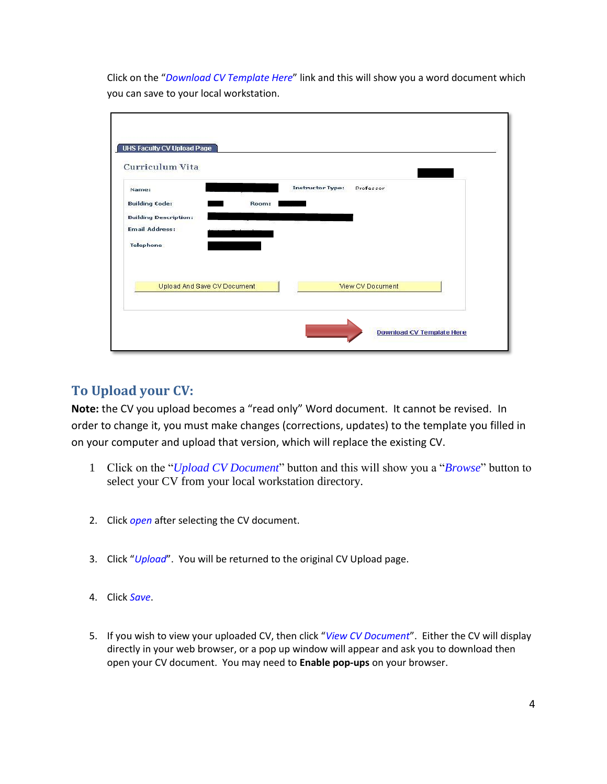Click on the "*Download CV Template Here*" link and this will show you a word document which you can save to your local workstation.

| Name:                        |                             | <b>Instructor Type:</b> | Professor        |  |
|------------------------------|-----------------------------|-------------------------|------------------|--|
| <b>Building Code:</b>        | Room:                       |                         |                  |  |
| <b>Building Description:</b> |                             | SS.                     |                  |  |
| <b>Email Address:</b>        |                             |                         |                  |  |
| <b>Telephone</b>             |                             |                         |                  |  |
|                              |                             |                         |                  |  |
|                              |                             |                         |                  |  |
|                              | Upload And Save CV Document |                         | View CV Document |  |

## <span id="page-29-0"></span>**To Upload your CV:**

**Note:** the CV you upload becomes a "read only" Word document. It cannot be revised. In order to change it, you must make changes (corrections, updates) to the template you filled in on your computer and upload that version, which will replace the existing CV.

- 1 Click on the "*Upload CV Document*" button and this will show you a "*Browse*" button to select your CV from your local workstation directory.
- 2. Click *open* after selecting the CV document.
- 3. Click "*Upload*". You will be returned to the original CV Upload page.
- 4. Click *Save*.
- 5. If you wish to view your uploaded CV, then click "*View CV Document*". Either the CV will display directly in your web browser, or a pop up window will appear and ask you to download then open your CV document. You may need to **Enable pop-ups** on your browser.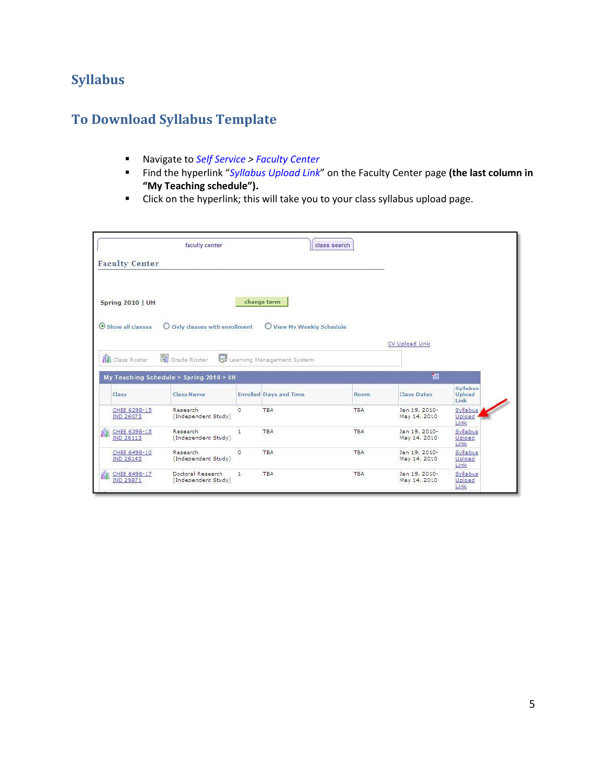# <span id="page-30-1"></span><span id="page-30-0"></span>**Syllabus**

# **To Download Syllabus Template**

- Navigate to *Self Service > Faculty Center*
- Find the hyperlink "*Syllabus Upload Link*" on the Faculty Center page **(the last column in "My Teaching schedule").**
- Click on the hyperlink; this will take you to your class syllabus upload page.

| <b>Faculty Center</b>            | faculty center                                                       |         |                               | class search |                               |                                          |
|----------------------------------|----------------------------------------------------------------------|---------|-------------------------------|--------------|-------------------------------|------------------------------------------|
| <b>Spring 2010   UH</b>          |                                                                      |         | change term                   |              |                               |                                          |
| Show all classes                 | O Only classes with enrollment                                       |         | View My Weekly Schedule       |              |                               |                                          |
|                                  |                                                                      |         |                               |              | CV Upload Link                |                                          |
|                                  |                                                                      |         |                               |              |                               |                                          |
| Class Roster                     | Grade Roster<br><b>kd</b><br>My Teaching Schedule > Spring 2010 > UH |         | Learning Management System    |              | 翻                             |                                          |
| Class                            | <b>Class Name</b>                                                    |         | <b>Enrolled Days and Time</b> | <b>Room</b>  | <b>Class Dates</b>            | <b>Syllabus</b><br><b>Upload</b><br>Link |
| CHEE 6298-15<br><b>IND 26073</b> | <b>Research</b><br>(Independent Study)                               | $\circ$ | <b>TBA</b>                    | <b>TBA</b>   | Jan 19, 2010-<br>May 14, 2010 | Syllabus<br>Upload<br>Link               |
| CHEE 6398-15<br><b>IND 26113</b> | Research<br>(Independent Study)                                      | 1       | TBA                           | <b>TBA</b>   | Jan 19, 2010-<br>May 14, 2010 | Syllabus<br>Upload<br>Link               |
| 88<br>CHEE 6498-10<br>IND 26143  | Research<br>(Independent Study)                                      | o       | <b>TBA</b>                    | <b>TBA</b>   | Jan 19, 2010-<br>May 14, 2010 | Syllabus<br>Upload<br>Link               |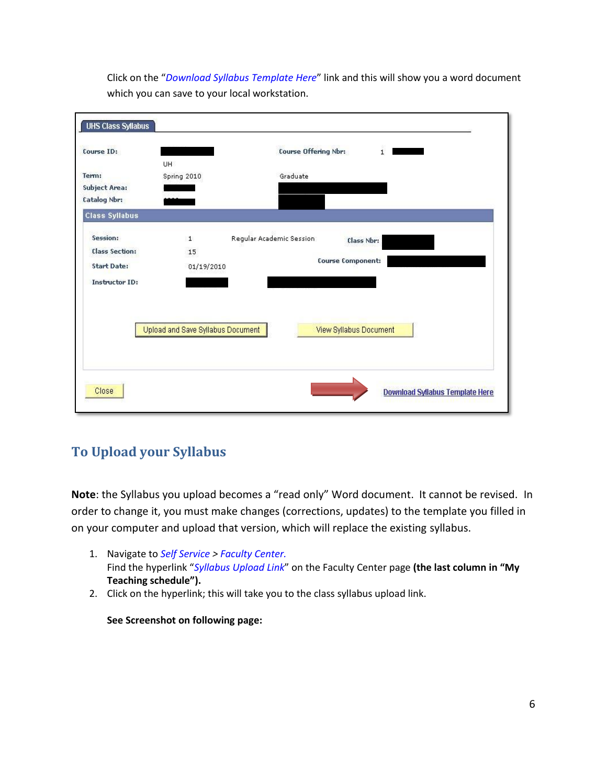Click on the "*Download Syllabus Template Here*" link and this will show you a word document which you can save to your local workstation.

| Course ID:            | UH                                | <b>Course Offering Nbr:</b><br>$\mathbf{1}$ |
|-----------------------|-----------------------------------|---------------------------------------------|
| Term:                 | Spring 2010                       | Graduate                                    |
| <b>Subject Area:</b>  |                                   |                                             |
| <b>Catalog Nbr:</b>   |                                   |                                             |
| <b>Class Syllabus</b> |                                   |                                             |
| Session:              | $\mathbf{1}$                      | Regular Academic Session<br>Class Nbr:      |
| <b>Class Section:</b> | 15                                |                                             |
| <b>Start Date:</b>    | 01/19/2010                        | <b>Course Component:</b>                    |
| <b>Instructor ID:</b> |                                   |                                             |
|                       |                                   |                                             |
|                       |                                   |                                             |
|                       |                                   |                                             |
|                       | Upload and Save Syllabus Document | View Syllabus Document                      |
|                       |                                   |                                             |
|                       |                                   |                                             |

# <span id="page-31-0"></span>**To Upload your Syllabus**

**Note**: the Syllabus you upload becomes a "read only" Word document. It cannot be revised. In order to change it, you must make changes (corrections, updates) to the template you filled in on your computer and upload that version, which will replace the existing syllabus.

- 1. Navigate to *Self Service > Faculty Center.* Find the hyperlink "*Syllabus Upload Link*" on the Faculty Center page **(the last column in "My Teaching schedule").**
- 2. Click on the hyperlink; this will take you to the class syllabus upload link.

**See Screenshot on following page:**